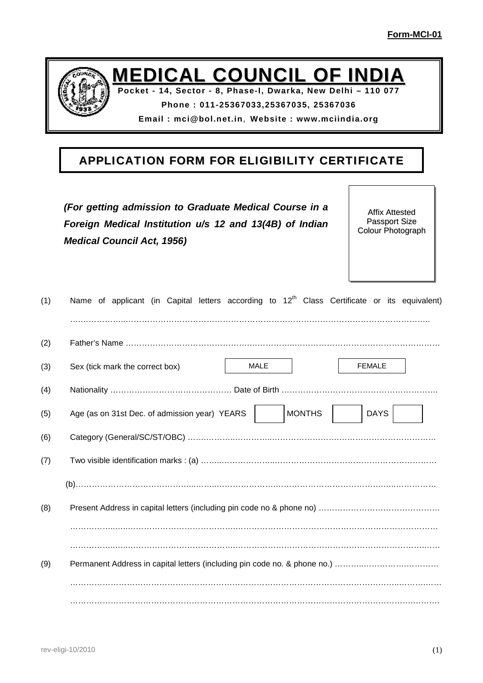

**MEDICAL COUNCIL OF INDIA**

**Pocket - 14, Sector - 8, Phase-I, Dwarka, New Delhi – 110 077**

**Phone : 011-25367033,25367035, 25367036**

**Email : mci@bol.net.in**, **Website : www.mciindia.org**

## **APPLICATION FORM FOR ELIGIBILITY CERTIFICATE**

|     | (For getting admission to Graduate Medical Course in a<br>Foreign Medical Institution u/s 12 and 13(4B) of Indian<br><b>Medical Council Act, 1956)</b> | <b>Affix Attested</b><br><b>Passport Size</b><br>Colour Photograph |
|-----|--------------------------------------------------------------------------------------------------------------------------------------------------------|--------------------------------------------------------------------|
| (1) | Name of applicant (in Capital letters according to 12 <sup>th</sup> Class Certificate or its equivalent)                                               |                                                                    |
| (2) |                                                                                                                                                        |                                                                    |
| (3) | <b>MALE</b><br>Sex (tick mark the correct box)                                                                                                         | <b>FEMALE</b>                                                      |
| (4) |                                                                                                                                                        |                                                                    |
| (5) | <b>MONTHS</b><br>Age (as on 31st Dec. of admission year) YEARS                                                                                         | <b>DAYS</b>                                                        |
| (6) |                                                                                                                                                        |                                                                    |
| (7) |                                                                                                                                                        |                                                                    |
|     |                                                                                                                                                        |                                                                    |
| (8) |                                                                                                                                                        |                                                                    |
|     |                                                                                                                                                        |                                                                    |
|     |                                                                                                                                                        |                                                                    |

(9) Permanent Address in capital letters (including pin code no. & phone no.) ………..…………….………… …………………………………………………………………………………………………………..……….…… ……………………………………………………………………………………………………………….……….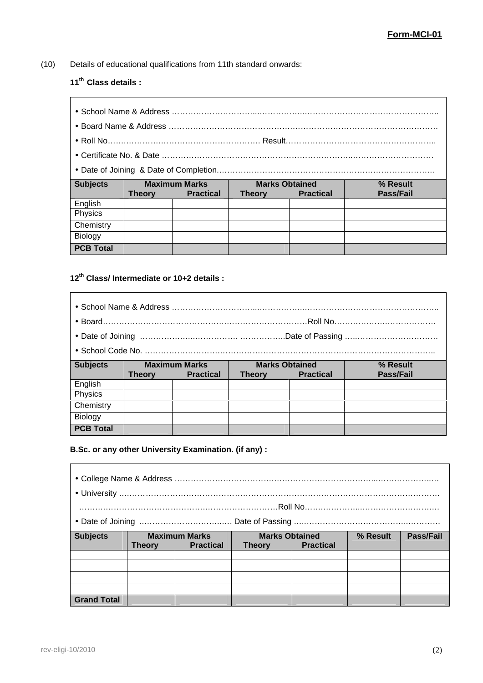$\overline{\phantom{a}}$ 

(10) Details of educational qualifications from 11th standard onwards:

## **11th Class details :**

| <b>Subjects</b> |               | <b>Maximum Marks</b> |               | <b>Marks Obtained</b> | % Result  |
|-----------------|---------------|----------------------|---------------|-----------------------|-----------|
|                 | <b>Theory</b> | <b>Practical</b>     | <b>Theory</b> | <b>Practical</b>      | Pass/Fail |
| English         |               |                      |               |                       |           |
| Physics         |               |                      |               |                       |           |
| Chemistry       |               |                      |               |                       |           |
| Biology         |               |                      |               |                       |           |

## **12th Class/ Intermediate or 10+2 details :**

| <b>Subjects</b> |               | <b>Maximum Marks</b> | <b>Marks Obtained</b><br>% Result |                  |           |  |
|-----------------|---------------|----------------------|-----------------------------------|------------------|-----------|--|
|                 | <b>Theory</b> | <b>Practical</b>     | <b>Theory</b>                     | <b>Practical</b> | Pass/Fail |  |
| English         |               |                      |                                   |                  |           |  |
| Physics         |               |                      |                                   |                  |           |  |
| Chemistry       |               |                      |                                   |                  |           |  |
|                 |               |                      |                                   |                  |           |  |
| Biology         |               |                      |                                   |                  |           |  |

### **B.Sc. or any other University Examination. (if any) :**

| <b>Subjects</b>    | <b>Maximum Marks</b><br><b>Practical</b><br><b>Theory</b> |  | <b>Marks Obtained</b><br><b>Practical</b><br><b>Theory</b> |  | % Result | Pass/Fail |
|--------------------|-----------------------------------------------------------|--|------------------------------------------------------------|--|----------|-----------|
|                    |                                                           |  |                                                            |  |          |           |
|                    |                                                           |  |                                                            |  |          |           |
| <b>Grand Total</b> |                                                           |  |                                                            |  |          |           |

 $\overline{\phantom{a}}$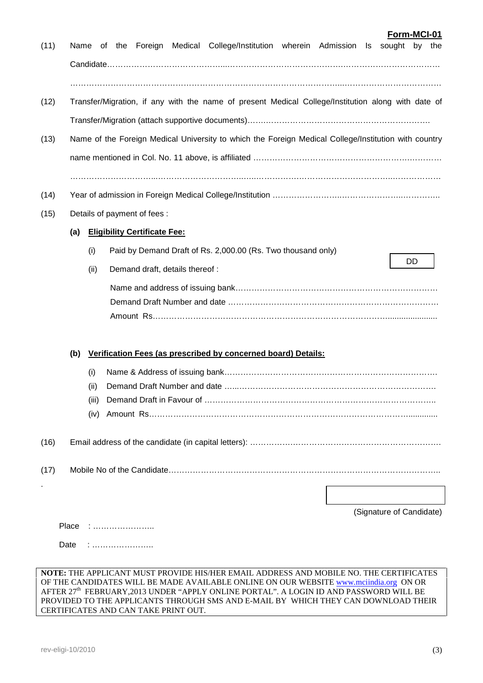|     |       | Transfer/Migration, if any with the name of present Medical College/Institution along with date of   |
|-----|-------|------------------------------------------------------------------------------------------------------|
|     |       |                                                                                                      |
|     |       | Name of the Foreign Medical University to which the Foreign Medical College/Institution with country |
|     |       |                                                                                                      |
|     |       |                                                                                                      |
|     |       | Details of payment of fees :                                                                         |
| (a) |       | <b>Eligibility Certificate Fee:</b>                                                                  |
|     | (i)   | Paid by Demand Draft of Rs. 2,000.00 (Rs. Two thousand only)                                         |
|     | (ii)  | DD<br>Demand draft, details thereof :                                                                |
|     |       |                                                                                                      |
|     |       |                                                                                                      |
|     |       |                                                                                                      |
| (b) |       | Verification Fees (as prescribed by concerned board) Details:                                        |
|     | (i)   |                                                                                                      |
|     | (ii)  |                                                                                                      |
|     | (iii) |                                                                                                      |
|     | (iv)  |                                                                                                      |
|     |       |                                                                                                      |
|     |       |                                                                                                      |
|     |       |                                                                                                      |
|     |       |                                                                                                      |

(11) Name of the Foreign Medical College/Institution wherein Admission Is sought by the

#### **NOTE:** THE APPLICANT MUST PROVIDE HIS/HER EMAIL ADDRESS AND MOBILE NO. THE CERTIFICATES OF THE CANDIDATES WILL BE MADE AVAILABLE ONLINE ON OUR WEBSITE www.mciindia.org ON OR AFTER 27<sup>th</sup> FEBRUARY,2013 UNDER "APPLY ONLINE PORTAL". A LOGIN ID AND PASSWORD WILL BE PROVIDED TO THE APPLICANTS THROUGH SMS AND E-MAIL BY WHICH THEY CAN DOWNLOAD THEIR CERTIFICATES AND CAN TAKE PRINT OUT.

**Form-MCI-01**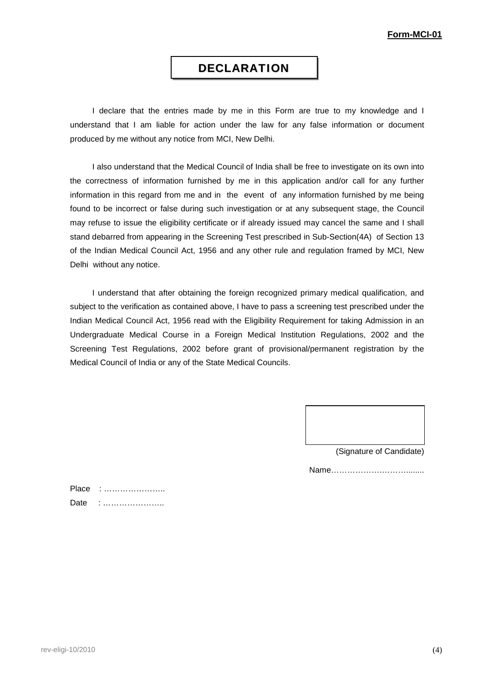## **DECLARATION**

I declare that the entries made by me in this Form are true to my knowledge and I understand that I am liable for action under the law for any false information or document produced by me without any notice from MCI, New Delhi.

I also understand that the Medical Council of India shall be free to investigate on its own into the correctness of information furnished by me in this application and/or call for any further information in this regard from me and in the event of any information furnished by me being found to be incorrect or false during such investigation or at any subsequent stage, the Council may refuse to issue the eligibility certificate or if already issued may cancel the same and I shall stand debarred from appearing in the Screening Test prescribed in Sub-Section(4A) of Section 13 of the Indian Medical Council Act, 1956 and any other rule and regulation framed by MCI, New Delhi without any notice.

I understand that after obtaining the foreign recognized primary medical qualification, and subject to the verification as contained above, I have to pass a screening test prescribed under the Indian Medical Council Act, 1956 read with the Eligibility Requirement for taking Admission in an Undergraduate Medical Course in a Foreign Medical Institution Regulations, 2002 and the Screening Test Regulations, 2002 before grant of provisional/permanent registration by the Medical Council of India or any of the State Medical Councils.

(Signature of Candidate)

Name……………….………........

| Place |  |
|-------|--|
| Date  |  |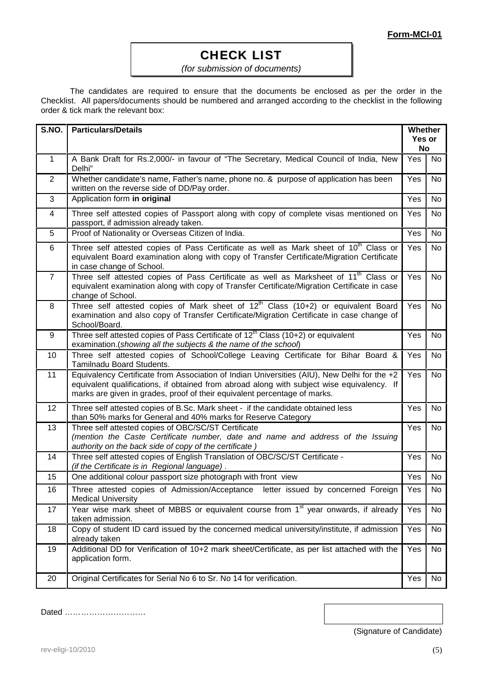## **CHECK LIST**

### *(for submission of documents)*

The candidates are required to ensure that the documents be enclosed as per the order in the Checklist. All papers/documents should be numbered and arranged according to the checklist in the following **.**order & tick mark the relevant box:

| S.NO.          | <b>Particulars/Details</b>                                                                                                                                                                                                                                             |     |           |  |  |
|----------------|------------------------------------------------------------------------------------------------------------------------------------------------------------------------------------------------------------------------------------------------------------------------|-----|-----------|--|--|
| $\mathbf{1}$   | A Bank Draft for Rs.2,000/- in favour of "The Secretary, Medical Council of India, New<br>Delhi"                                                                                                                                                                       | Yes | <b>No</b> |  |  |
| $\mathbf{2}$   | Whether candidate's name, Father's name, phone no. & purpose of application has been<br>written on the reverse side of DD/Pay order.                                                                                                                                   | Yes | <b>No</b> |  |  |
| 3              | Application form in original                                                                                                                                                                                                                                           | Yes | No.       |  |  |
| 4              | Three self attested copies of Passport along with copy of complete visas mentioned on<br>passport, if admission already taken.                                                                                                                                         | Yes | <b>No</b> |  |  |
| 5              | Proof of Nationality or Overseas Citizen of India.                                                                                                                                                                                                                     | Yes | <b>No</b> |  |  |
| 6              | Three self attested copies of Pass Certificate as well as Mark sheet of 10 <sup>th</sup> Class or<br>equivalent Board examination along with copy of Transfer Certificate/Migration Certificate<br>in case change of School.                                           | Yes | <b>No</b> |  |  |
| $\overline{7}$ | Three self attested copies of Pass Certificate as well as Marksheet of 11 <sup>th</sup> Class or<br>equivalent examination along with copy of Transfer Certificate/Migration Certificate in case<br>change of School.                                                  | Yes | No        |  |  |
| 8              | Three self attested copies of Mark sheet of 12 <sup>th</sup> Class (10+2) or equivalent Board<br>examination and also copy of Transfer Certificate/Migration Certificate in case change of<br>School/Board.                                                            | Yes | No        |  |  |
| 9              | Three self attested copies of Pass Certificate of 12 <sup>th</sup> Class (10+2) or equivalent<br>examination.(showing all the subjects & the name of the school)                                                                                                       | Yes | <b>No</b> |  |  |
| 10             | Three self attested copies of School/College Leaving Certificate for Bihar Board &<br>Tamilnadu Board Students.                                                                                                                                                        | Yes | <b>No</b> |  |  |
| 11             | Equivalency Certificate from Association of Indian Universities (AIU), New Delhi for the +2<br>equivalent qualifications, if obtained from abroad along with subject wise equivalency. If<br>marks are given in grades, proof of their equivalent percentage of marks. | Yes | No        |  |  |
| 12             | Three self attested copies of B.Sc. Mark sheet - if the candidate obtained less<br>than 50% marks for General and 40% marks for Reserve Category                                                                                                                       | Yes | <b>No</b> |  |  |
| 13             | Three self attested copies of OBC/SC/ST Certificate<br>(mention the Caste Certificate number, date and name and address of the Issuing<br>authority on the back side of copy of the certificate)                                                                       | Yes | <b>No</b> |  |  |
| 14             | Three self attested copies of English Translation of OBC/SC/ST Certificate -<br>(if the Certificate is in Regional language).                                                                                                                                          | Yes | No        |  |  |
| 15             | One additional colour passport size photograph with front view                                                                                                                                                                                                         | Yes | No        |  |  |
| 16             | Three attested copies of Admission/Acceptance letter issued by concerned Foreign<br><b>Medical University</b>                                                                                                                                                          | Yes | No        |  |  |
| 17             | Year wise mark sheet of MBBS or equivalent course from 1 <sup>st</sup> year onwards, if already<br>taken admission.                                                                                                                                                    | Yes | No        |  |  |
| 18             | Copy of student ID card issued by the concerned medical university/institute, if admission<br>already taken                                                                                                                                                            | Yes | No        |  |  |
| 19             | Additional DD for Verification of 10+2 mark sheet/Certificate, as per list attached with the<br>application form.                                                                                                                                                      | Yes | No        |  |  |
| 20             | Original Certificates for Serial No 6 to Sr. No 14 for verification.                                                                                                                                                                                                   | Yes | No        |  |  |

Dated …………………………

(Signature of Candidate)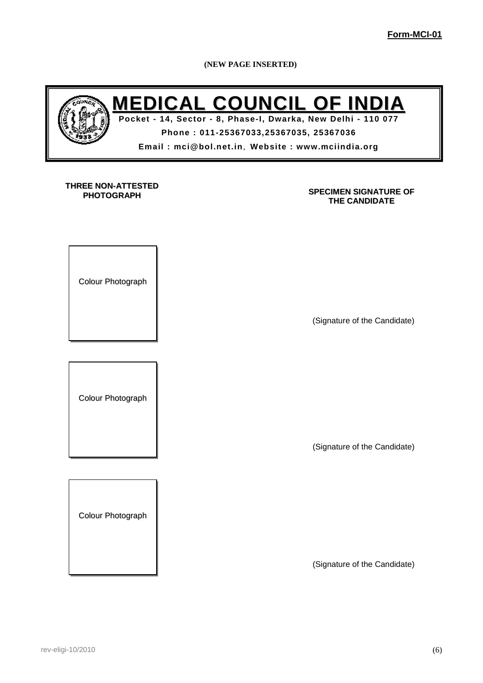**(NEW PAGE INSERTED)**



# **MEDICAL COUNCIL OF INDIA**

**Pocket - 14, Sector - 8, Phase-I, Dwarka, New Delhi - 110 077 Phone : 011-25367033,25367035, 25367036 Email : mci@bol.net.in**, **Website : www.mciindia.org**

### **THREE NON-ATTESTED PHOTOGRAPH**

### **SPECIMEN SIGNATURE OF THE CANDIDATE**

Colour Photograph

(Signature of the Candidate)

Colour Photograph

(Signature of the Candidate)

Colour Photograph

(Signature of the Candidate)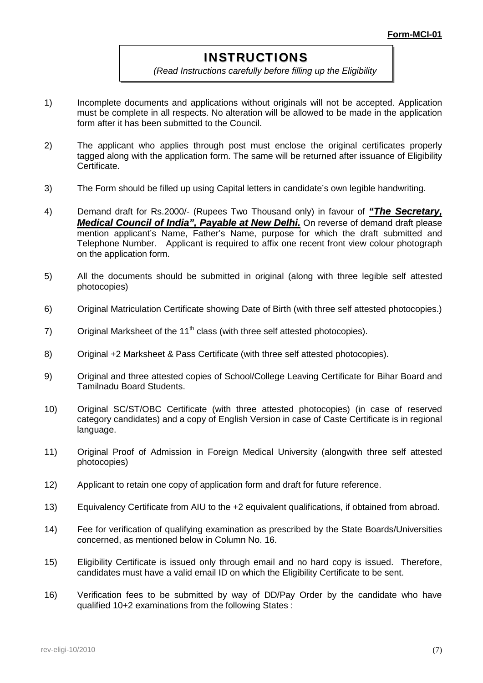## **INSTRUCTIONS**

*(Read Instructions carefully before filling up the Eligibility*

*Form)*

- 1) Incomplete documents and applications without originals will not be accepted. Application must be complete in all respects. No alteration will be allowed to be made in the application form after it has been submitted to the Council. **.**
- 2) The applicant who applies through post must enclose the original certificates properly tagged along with the application form. The same will be returned after issuance of Eligibility **Certificate**
- 3) The Form should be filled up using Capital letters in candidate's own legible handwriting.
- 4) Demand draft for Rs.2000/- (Rupees Two Thousand only) in favour of *"The Secretary, Medical Council of India", Payable at New Delhi.* On reverse of demand draft please mention applicant's Name, Father's Name, purpose for which the draft submitted and Telephone Number. Applicant is required to affix one recent front view colour photograph on the application form.
- 5) All the documents should be submitted in original (along with three legible self attested photocopies)
- 6) Original Matriculation Certificate showing Date of Birth (with three self attested photocopies.)
- 7) Original Marksheet of the  $11<sup>th</sup>$  class (with three self attested photocopies).
- 8) Original +2 Marksheet & Pass Certificate (with three self attested photocopies).
- 9) Original and three attested copies of School/College Leaving Certificate for Bihar Board and Tamilnadu Board Students.
- 10) Original SC/ST/OBC Certificate (with three attested photocopies) (in case of reserved category candidates) and a copy of English Version in case of Caste Certificate is in regional language.
- 11) Original Proof of Admission in Foreign Medical University (alongwith three selfattested photocopies)
- 12) Applicant to retain one copy of application form and draft for future reference.
- 13) Equivalency Certificate from AIU to the +2 equivalent qualifications, if obtained from abroad.
- 14) Fee for verification of qualifying examination as prescribed by the State Boards/Universities concerned, as mentioned below in Column No. 16.
- 15) Eligibility Certificate is issued only through email and no hard copy is issued. Therefore, candidates must have a valid email ID on which the Eligibility Certificate to be sent.
- 16) Verification fees to be submitted by way of DD/Pay Order by the candidate who have qualified 10+2 examinations from the following States :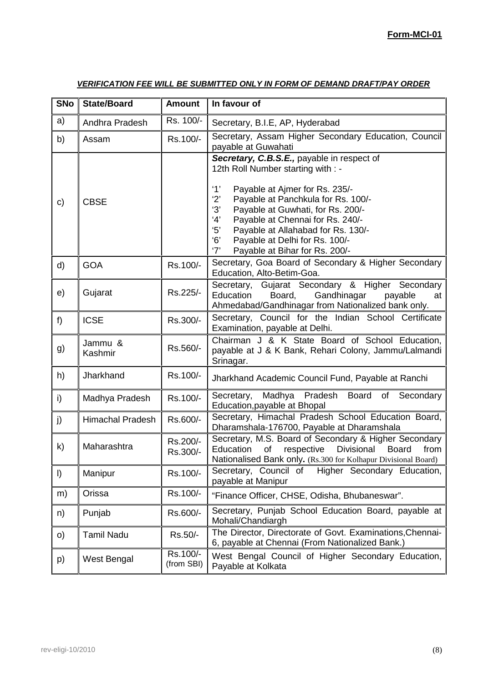## **Form-MCI-01**

| <b>SNo</b> | <b>State/Board</b>      | <b>Amount</b>          | In favour of                                                                                                                                                                                                                                                                                                                                                                             |
|------------|-------------------------|------------------------|------------------------------------------------------------------------------------------------------------------------------------------------------------------------------------------------------------------------------------------------------------------------------------------------------------------------------------------------------------------------------------------|
| a)         | Andhra Pradesh          | Rs. 100/-              | Secretary, B.I.E, AP, Hyderabad                                                                                                                                                                                                                                                                                                                                                          |
| b)         | Assam                   | Rs.100/-               | Secretary, Assam Higher Secondary Education, Council<br>payable at Guwahati                                                                                                                                                                                                                                                                                                              |
| c)         | <b>CBSE</b>             |                        | Secretary, C.B.S.E., payable in respect of<br>12th Roll Number starting with : -<br>'1'<br>Payable at Ajmer for Rs. 235/-<br>2'<br>Payable at Panchkula for Rs. 100/-<br>'3'<br>Payable at Guwhati, for Rs. 200/-<br>4'<br>Payable at Chennai for Rs. 240/-<br>5'<br>Payable at Allahabad for Rs. 130/-<br>6'<br>Payable at Delhi for Rs. 100/-<br>'7'<br>Payable at Bihar for Rs. 200/- |
| d)         | <b>GOA</b>              | Rs.100/-               | Secretary, Goa Board of Secondary & Higher Secondary<br>Education, Alto-Betim-Goa.                                                                                                                                                                                                                                                                                                       |
| e)         | Gujarat                 | Rs.225/-               | Secretary, Gujarat Secondary & Higher Secondary<br>Education<br>Board,<br>Gandhinagar<br>payable<br>at<br>Ahmedabad/Gandhinagar from Nationalized bank only.                                                                                                                                                                                                                             |
| $f$ )      | <b>ICSE</b>             | Rs.300/-               | Secretary, Council for the Indian School Certificate<br>Examination, payable at Delhi.                                                                                                                                                                                                                                                                                                   |
| g)         | Jammu &<br>Kashmir      | Rs.560/-               | Chairman J & K State Board of School Education,<br>payable at J & K Bank, Rehari Colony, Jammu/Lalmandi<br>Srinagar.                                                                                                                                                                                                                                                                     |
| h)         | Jharkhand               | Rs.100/-               | Jharkhand Academic Council Fund, Payable at Ranchi                                                                                                                                                                                                                                                                                                                                       |
| i)         | Madhya Pradesh          | Rs.100/-               | Secretary,<br>Madhya<br>Pradesh<br>Board<br>of<br>Secondary<br>Education, payable at Bhopal                                                                                                                                                                                                                                                                                              |
| j)         | <b>Himachal Pradesh</b> | Rs.600/-               | Secretary, Himachal Pradesh School Education Board,<br>Dharamshala-176700, Payable at Dharamshala                                                                                                                                                                                                                                                                                        |
| k)         | Maharashtra             | Rs.200/-<br>Rs.300/-   | Secretary, M.S. Board of Secondary & Higher Secondary<br>Education<br>Divisional<br>of<br>respective<br><b>Board</b><br>from<br>Nationalised Bank only. (Rs.300 for Kolhapur Divisional Board)                                                                                                                                                                                           |
| $\vert$    | Manipur                 | Rs.100/-               | Higher Secondary Education,<br>Secretary, Council of<br>payable at Manipur                                                                                                                                                                                                                                                                                                               |
| m)         | Orissa                  | Rs.100/-               | "Finance Officer, CHSE, Odisha, Bhubaneswar".                                                                                                                                                                                                                                                                                                                                            |
| n)         | Punjab                  | Rs.600/-               | Secretary, Punjab School Education Board, payable at<br>Mohali/Chandiargh                                                                                                                                                                                                                                                                                                                |
| $\circ$ )  | <b>Tamil Nadu</b>       | Rs.50/-                | The Director, Directorate of Govt. Examinations, Chennai-<br>6, payable at Chennai (From Nationalized Bank.)                                                                                                                                                                                                                                                                             |
| p)         | West Bengal             | Rs.100/-<br>(from SBI) | West Bengal Council of Higher Secondary Education,<br>Payable at Kolkata                                                                                                                                                                                                                                                                                                                 |

## *VERIFICATION FEE WILL BE SUBMITTED ONLY IN FORM OF DEMAND DRAFT/PAY ORDER*